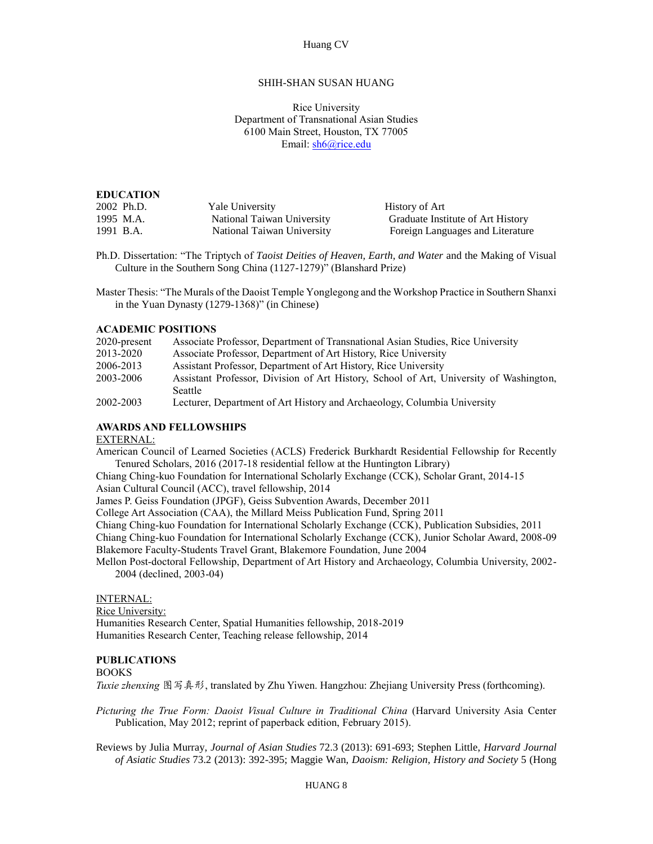### Huang CV

## SHIH-SHAN SUSAN HUANG

 Department of Transnational Asian Studies 6100 Main Street, Houston, TX 77005 Rice University Email: [sh6@rice.edu](mailto:sh6@rice.edu)

### **EDUCATION**

| 2002 Ph.D. | Yale University            |
|------------|----------------------------|
| 1995 M.A.  | National Taiwan University |
| 1991 B.A.  | National Taiwan University |

 Ph.D. Dissertation: "The Triptych of *Taoist Deities of Heaven, Earth, and Water* and the Making of Visual Culture in the Southern Song China (1127-1279)" (Blanshard Prize)

History of Art

Graduate Institute of Art History Foreign Languages and Literature

 Master Thesis: "The Murals of the Daoist Temple Yonglegong and the Workshop Practice in Southern Shanxi in the Yuan Dynasty (1279-1368)" (in Chinese)

#### **ACADEMIC POSITIONS**

| $2020$ -present | Associate Professor, Department of Transnational Asian Studies, Rice University        |
|-----------------|----------------------------------------------------------------------------------------|
| 2013-2020       | Associate Professor, Department of Art History, Rice University                        |
| 2006-2013       | Assistant Professor, Department of Art History, Rice University                        |
| 2003-2006       | Assistant Professor, Division of Art History, School of Art, University of Washington, |
|                 | <b>Seattle</b>                                                                         |
| 2002-2003       | Lecturer, Department of Art History and Archaeology, Columbia University               |

## **AWARDS AND FELLOWSHIPS**

### EXTERNAL:

 American Council of Learned Societies (ACLS) Frederick Burkhardt Residential Fellowship for Recently Tenured Scholars, 2016 (2017-18 residential fellow at the Huntington Library)

 Chiang Ching-kuo Foundation for International Scholarly Exchange (CCK), Scholar Grant, 2014-15 Asian Cultural Council (ACC), travel fellowship, 2014

James P. Geiss Foundation (JPGF), Geiss Subvention Awards, December 2011

College Art Association (CAA), the Millard Meiss Publication Fund, Spring 2011

Chiang Ching-kuo Foundation for International Scholarly Exchange (CCK), Publication Subsidies, 2011

 Chiang Ching-kuo Foundation for International Scholarly Exchange (CCK), Junior Scholar Award, 2008-09 Blakemore Faculty-Students Travel Grant, Blakemore Foundation, June 2004

 Mellon Post-doctoral Fellowship, Department of Art History and Archaeology, Columbia University, 2002- 2004 (declined, 2003-04)

INTERNAL:

 Humanities Research Center, Spatial Humanities fellowship, 2018-2019 Humanities Research Center, Teaching release fellowship, 2014 Rice University:

#### **PUBLICATIONS**

#### BOOKS

*Tuxie zhenxing* 图写真形, translated by Zhu Yiwen. Hangzhou: Zhejiang University Press (forthcoming).

 *Picturing the True Form: Daoist Visual Culture in Traditional China* (Harvard University Asia Center Publication, May 2012; reprint of paperback edition, February 2015).

 Reviews by Julia Murray, *Journal of Asian Studies* 72.3 (2013): 691-693; Stephen Little, *Harvard Journal of Asiatic Studies* 73.2 (2013): 392-395; Maggie Wan, *Daoism: Religion, History and Society* 5 (Hong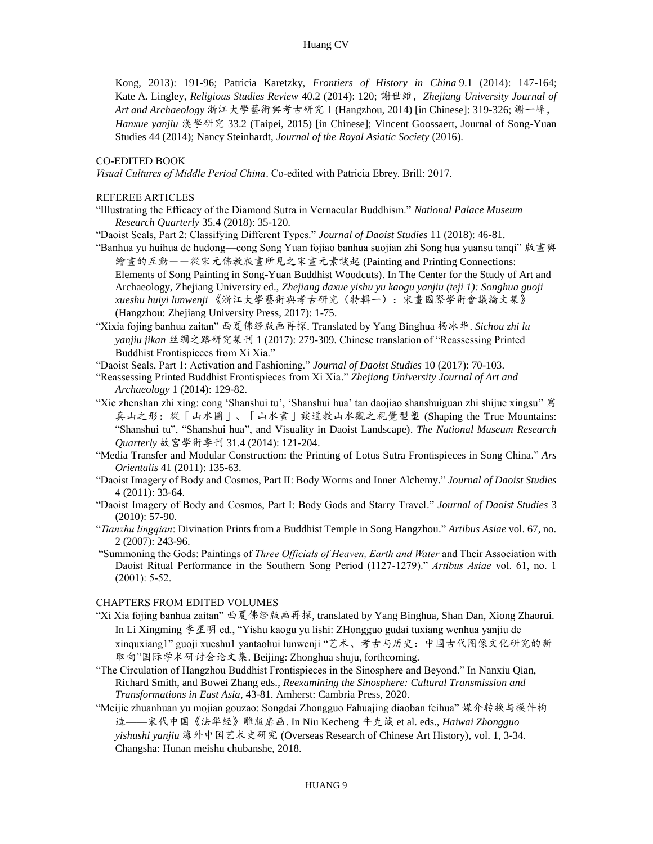Kate A. Lingley, *Religious Studies Review* 40.2 (2014): 120; 謝世維,*Zhejiang University Journal of Art and Archaeology* 浙江大學藝術與考古研究 1 (Hangzhou, 2014) [in Chinese]: 319-326; 謝一峰, Kong, 2013): 191-96; Patricia Karetzky, *Frontiers of History in China* 9.1 (2014): 147-164; *Hanxue yanjiu* 漢學研究 33.2 (Taipei, 2015) [in Chinese]; Vincent Goossaert, Journal of Song-Yuan Studies 44 (2014); Nancy Steinhardt, *Journal of the Royal Asiatic Society* (2016).

### CO-EDITED BOOK

*Visual Cultures of Middle Period China*. Co-edited with Patricia Ebrey. Brill: 2017.

REFEREE ARTICLES

 "Illustrating the Efficacy of the Diamond Sutra in Vernacular Buddhism." *National Palace Museum Research Quarterly* 35.4 (2018): 35-120.

"Daoist Seals, Part 2: Classifying Different Types." *Journal of Daoist Studies* 11 (2018): 46-81.

- "Banhua yu huihua de hudong—cong Song Yuan fojiao banhua suojian zhi Song hua yuansu tanqi" 版畫與 繪畫的互動--從宋元佛教版畫所見之宋畫元素談起 (Painting and Printing Connections: Elements of Song Painting in Song-Yuan Buddhist Woodcuts). In The Center for the Study of Art and Archaeology, Zhejiang University ed., *Zhejiang daxue yishu yu kaogu yanjiu (teji 1): Songhua guoji*  (Hangzhou: Zhejiang University Press, 2017): 1-75. *xueshu huiyi lunwenji* 《浙江大學藝術與考古研究(特輯一):宋畫國際學術會議論文集》
- (Hangzhou: Zhejiang University Press, 2017): 1-75. "Xixia fojing banhua zaitan" 西夏佛经版画再探. Translated by Yang Binghua 杨冰华. *Sichou zhi lu yanjiu jikan* 丝绸之路研究集刊 1 (2017): 279-309. Chinese translation of "Reassessing Printed Buddhist Frontispieces from Xi Xia."

"Daoist Seals, Part 1: Activation and Fashioning." *Journal of Daoist Studies* 10 (2017): 70-103.

- "Reassessing Printed Buddhist Frontispieces from Xi Xia." *Zhejiang University Journal of Art and Archaeology* 1 (2014): 129-82.
- "Xie zhenshan zhi xing: cong 'Shanshui tu', 'Shanshui hua' tan daojiao shanshuiguan zhi shijue xingsu" 寫 "Shanshui tu", "Shanshui hua", and Visuality in Daoist Landscape). *The National Museum Research*  真山之形:從「山水圖」、「山水畫」談道教山水觀之視覺型塑 (Shaping the True Mountains: *Quarterly* 故宮學術季刊 31.4 (2014): 121-204.
- "Media Transfer and Modular Construction: the Printing of Lotus Sutra Frontispieces in Song China." *Ars Orientalis* 41 (2011): 135-63.
- "Daoist Imagery of Body and Cosmos, Part II: Body Worms and Inner Alchemy." *Journal of Daoist Studies*  4 (2011): 33-64.
- "Daoist Imagery of Body and Cosmos, Part I: Body Gods and Starry Travel." *Journal of Daoist Studies* 3 (2010): 57-90.
- "*Tianzhu lingqian*: Divination Prints from a Buddhist Temple in Song Hangzhou." *Artibus Asiae* vol. 67, no. 2 (2007): 243-96.
- "Summoning the Gods: Paintings of *Three Officials of Heaven, Earth and Water* and Their Association with Daoist Ritual Performance in the Southern Song Period (1127-1279)." *Artibus Asiae* vol. 61, no. 1 (2001): 5-52.

#### CHAPTERS FROM EDITED VOLUMES

- "Xi Xia fojing banhua zaitan" 西夏佛经版画再探, translated by Yang Binghua, Shan Dan, Xiong Zhaorui. In Li Xingming 李星明 ed., "Yishu kaogu yu lishi: ZHongguo gudai tuxiang wenhua yanjiu de xinquxiang1" guoji xueshu1 yantaohui lunwenji "艺术、考古与历史:中国古代图像文化研究的新 取向"国际学术研讨会论文集. Beijing: Zhonghua shuju, forthcoming.
- "The Circulation of Hangzhou Buddhist Frontispieces in the Sinosphere and Beyond." In Nanxiu Qian, Richard Smith, and Bowei Zhang eds., *Reexamining the Sinosphere: Cultural Transmission and Transformations in East Asia*, 43-81. Amherst: Cambria Press, 2020.
- "Meijie zhuanhuan yu mojian gouzao: Songdai Zhongguo Fahuajing diaoban feihua" 媒介转换与模件构 造——宋代中国《法华经》雕版扉画. In Niu Kecheng 牛克诚 et al. eds., *Haiwai Zhongguo yishushi yanjiu* 海外中国艺术史研究 (Overseas Research of Chinese Art History), vol. 1, 3-34. Changsha: Hunan meishu chubanshe, 2018.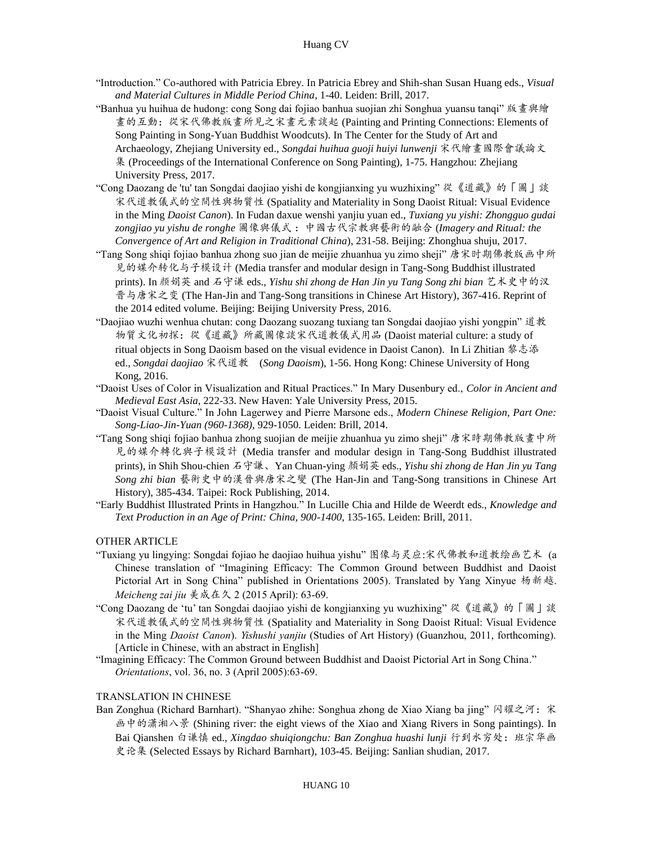- "Introduction." Co-authored with Patricia Ebrey. In Patricia Ebrey and Shih-shan Susan Huang eds., *Visual and Material Cultures in Middle Period China*, 1-40. Leiden: Brill, 2017.
- "Banhua yu huihua de hudong: cong Song dai fojiao banhua suojian zhi Songhua yuansu tanqi" 版畫與繪 畫的互動:從宋代佛教版畫所見之宋畫元素談起 (Painting and Printing Connections: Elements of Song Painting in Song-Yuan Buddhist Woodcuts). In The Center for the Study of Art and Archaeology, Zhejiang University ed., *Songdai huihua guoji huiyi lunwenji* 宋代繪畫國際會議論文 集 (Proceedings of the International Conference on Song Painting), 1-75. Hangzhou: Zhejiang University Press, 2017.
- "Cong Daozang de 'tu' tan Songdai daojiao yishi de kongjianxing yu wuzhixing" 從《道藏》的「圖」談 宋代道教儀式的空間性與物質性 (Spatiality and Materiality in Song Daoist Ritual: Visual Evidence in the Ming *Daoist Canon*). In Fudan daxue wenshi yanjiu yuan ed., *Tuxiang yu yishi: Zhongguo gudai zongjiao yu yishu de ronghe* 圖像與儀式 :中國古代宗教與藝術的融合 (*Imagery and Ritual: the Convergence of Art and Religion in Traditional China*), 231-58. Beijing: Zhonghua shuju, 2017.
- "Tang Song shiqi fojiao banhua zhong suo jian de meijie zhuanhua yu zimo sheji" 唐宋时期佛教版画中所 见的媒介转化与子模设计 (Media transfer and modular design in Tang-Song Buddhist illustrated  prints). In 颜娟英 and 石守谦 eds., *Yishu shi zhong de Han Jin yu Tang Song zhi bian* [艺术史中的汉](http://www.pup.cn/scrp/bookdetail.cfm?iBookNo=93688&sYc=1) [晋与唐宋之变](http://www.pup.cn/scrp/bookdetail.cfm?iBookNo=93688&sYc=1) (The Han-Jin and Tang-Song transitions in Chinese Art History), 367-416. Reprint of the 2014 edited volume. Beijing: Beijing University Press, 2016.
- "Daojiao wuzhi wenhua chutan: cong Daozang suozang tuxiang tan Songdai daojiao yishi yongpin" 道教 物質文化初探:從《道藏》所藏圖像談宋代道教儀式用品 (Daoist material culture: a study of ritual objects in Song Daoism based on the visual evidence in Daoist Canon). In Li Zhitian 黎志添 ed., *Songdai daojiao* 宋代道教 (*Song Daoism*), 1-56. Hong Kong: Chinese University of Hong Kong, 2016.
- "Daoist Uses of Color in Visualization and Ritual Practices." In Mary Dusenbury ed., *Color in Ancient and Medieval East Asia*, 222-33. New Haven: Yale University Press, 2015.
- "Daoist Visual Culture." In John Lagerwey and Pierre Marsone eds., *Modern Chinese Religion, Part One: Song-Liao-Jin-Yuan (960-1368)*, 929-1050. Leiden: Brill, 2014.
- "Tang Song shiqi fojiao banhua zhong suojian de meijie zhuanhua yu zimo sheji" 唐宋時期佛教版畫中所 見的媒介轉化與子模設計 (Media transfer and modular design in Tang-Song Buddhist illustrated prints), in Shih Shou-chien 石守謙、Yan Chuan-ying 顏娟英 eds., *Yishu shi zhong de Han Jin yu Tang Song zhi bian* 藝術史中的漢晉與唐宋之變 (The Han-Jin and Tang-Song transitions in Chinese Art History), 385-434. Taipei: Rock Publishing, 2014.
- "Early Buddhist Illustrated Prints in Hangzhou." In Lucille Chia and Hilde de Weerdt eds., *Knowledge and Text Production in an Age of Print: China, 900-1400*, 135-165. Leiden: Brill, 2011.

## OTHER ARTICLE

- "Tuxiang yu lingying: Songdai fojiao he daojiao huihua yishu" 图像与灵应:[宋代佛教和道教绘画艺术](http://www.academia.edu/35771596/%E9%BB%84%E5%A3%AB%E7%8F%8A%E8%91%97_%E6%9D%A8%E6%B8%85%E8%B6%8A%E8%AF%91_%E5%9B%BE%E5%83%8F%E4%B8%8E%E7%81%B5%E5%BA%94_%E5%AE%8B%E4%BB%A3%E4%BD%9B%E6%95%99%E5%92%8C%E9%81%93%E6%95%99%E7%BB%98%E7%94%BB%E8%89%BA%E6%9C%AF_%E7%BE%8E%E6%88%90%E5%9C%A8%E4%B9%85_2_2015_68-77) (a Chinese translation of "Imagining Efficacy: The Common Ground between Buddhist and Daoist Pictorial Art in Song China" published in Orientations 2005). Translated by Yang Xinyue 杨新越. *Meicheng zai jiu* 美成在久 2 (2015 April): 63-69.
- "Cong Daozang de 'tu' tan Songdai daojiao yishi de kongjianxing yu wuzhixing" 從《道藏》的「圖」談 宋代道教儀式的空間性與物質性 (Spatiality and Materiality in Song Daoist Ritual: Visual Evidence in the Ming *Daoist Canon*). *Yishushi yanjiu* (Studies of Art History) (Guanzhou, 2011, forthcoming). [Article in Chinese, with an abstract in English]
- "Imagining Efficacy: The Common Ground between Buddhist and Daoist Pictorial Art in Song China." *Orientations*, vol. 36, no. 3 (April 2005):63-69.

#### TRANSLATION IN CHINESE

Ban Zonghua (Richard Barnhart). "Shanyao zhihe: Songhua zhong de Xiao Xiang ba jing" 闪耀之河: 宋 画中的潇湘八景 (Shining river: the eight views of the Xiao and Xiang Rivers in Song paintings). In  Bai Qianshen 白谦慎 ed., *Xingdao shuiqiongchu: Ban Zonghua huashi lunji* 行到水穷处:班宗华画 史论集 (Selected Essays by Richard Barnhart), 103-45. Beijing: Sanlian shudian, 2017.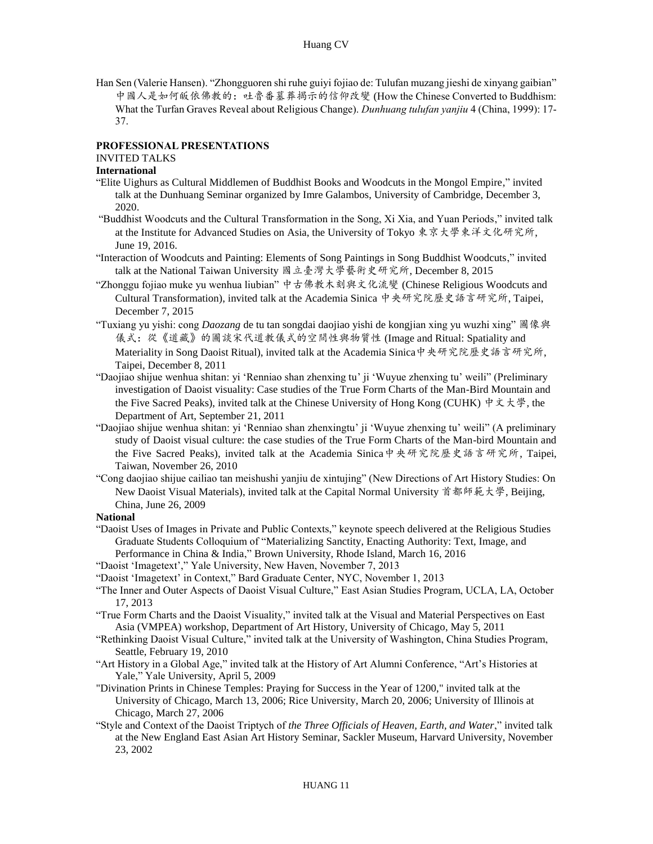Han Sen (Valerie Hansen). "Zhongguoren shi ruhe guiyi fojiao de: Tulufan muzang jieshi de xinyang gaibian" 中國人是如何皈依佛教的:吐魯番墓葬揭示的信仰改變 (How the Chinese Converted to Buddhism: What the Turfan Graves Reveal about Religious Change). *Dunhuang tulufan yanjiu* 4 (China, 1999): 17- 37.

# **PROFESSIONAL PRESENTATIONS**

# INVITED TALKS

# **International**

- "Elite Uighurs as Cultural Middlemen of Buddhist Books and Woodcuts in the Mongol Empire," invited talk at the Dunhuang Seminar organized by Imre Galambos, University of Cambridge, December 3, 2020.
- 2020. "Buddhist Woodcuts and the Cultural Transformation in the Song, Xi Xia, and Yuan Periods," invited talk at the Institute for Advanced Studies on Asia, the University of Tokyo 東京大學東洋文化研究所, June 19, 2016.
- "Interaction of Woodcuts and Painting: Elements of Song Paintings in Song Buddhist Woodcuts," invited talk at the National Taiwan University 國立臺灣大學藝術史研究所, December 8, 2015
- "Zhonggu fojiao muke yu wenhua liubian" 中古佛教木刻與文化流變 (Chinese Religious Woodcuts and Cultural Transformation), invited talk at the Academia Sinica 中央研究院歷史語言研究所, Taipei, December 7, 2015
- "Tuxiang yu yishi: cong *Daozang* de tu tan songdai daojiao yishi de kongjian xing yu wuzhi xing" 圖像與 儀式:從《道藏》的圖談宋代道教儀式的空間性與物質性 (Image and Ritual: Spatiality and Materiality in Song Daoist Ritual), invited talk at the Academia Sinica中央研究院歷史語言研究所, Taipei, December 8, 2011
- "Daojiao shijue wenhua shitan: yi 'Renniao shan zhenxing tu' ji 'Wuyue zhenxing tu' weili" (Preliminary investigation of Daoist visuality: Case studies of the True Form Charts of the Man-Bird Mountain and the Five Sacred Peaks), invited talk at the Chinese University of Hong Kong (CUHK) 中文大學, the Department of Art, September 21, 2011
- "Daojiao shijue wenhua shitan: yi 'Renniao shan zhenxingtu' ji 'Wuyue zhenxing tu' weili" (A preliminary study of Daoist visual culture: the case studies of the True Form Charts of the Man-bird Mountain and the Five Sacred Peaks), invited talk at the Academia Sinica中央研究院歷史語言研究所, Taipei, Taiwan, November 26, 2010
- "Cong daojiao shijue cailiao tan meishushi yanjiu de xintujing" (New Directions of Art History Studies: On New Daoist Visual Materials), invited talk at the Capital Normal University 首都師範大學, Beijing, China, June 26, 2009

#### **National**

- "Daoist Uses of Images in Private and Public Contexts," keynote speech delivered at the Religious Studies Graduate Students Colloquium of "Materializing Sanctity, Enacting Authority: Text, Image, and Performance in China & India," Brown University, Rhode Island, March 16, 2016
- "Daoist 'Imagetext'," Yale University, New Haven, November 7, 2013
- "Daoist 'Imagetext' in Context," Bard Graduate Center, NYC, November 1, 2013
- "The Inner and Outer Aspects of Daoist Visual Culture," East Asian Studies Program, UCLA, LA, October 17, 2013
- "True Form Charts and the Daoist Visuality," invited talk at the Visual and Material Perspectives on East Asia (VMPEA) workshop, Department of Art History, University of Chicago, May 5, 2011
- "Rethinking Daoist Visual Culture," invited talk at the University of Washington, China Studies Program, Seattle, February 19, 2010
- "Art History in a Global Age," invited talk at the History of Art Alumni Conference, "Art's Histories at Yale," Yale University, April 5, 2009
- "Divination Prints in Chinese Temples: Praying for Success in the Year of 1200," invited talk at the University of Chicago, March 13, 2006; Rice University, March 20, 2006; University of Illinois at Chicago, March 27, 2006
- "Style and Context of the Daoist Triptych of *the Three Officials of Heaven, Earth, and Water*," invited talk at the New England East Asian Art History Seminar, Sackler Museum, Harvard University, November 23, 2002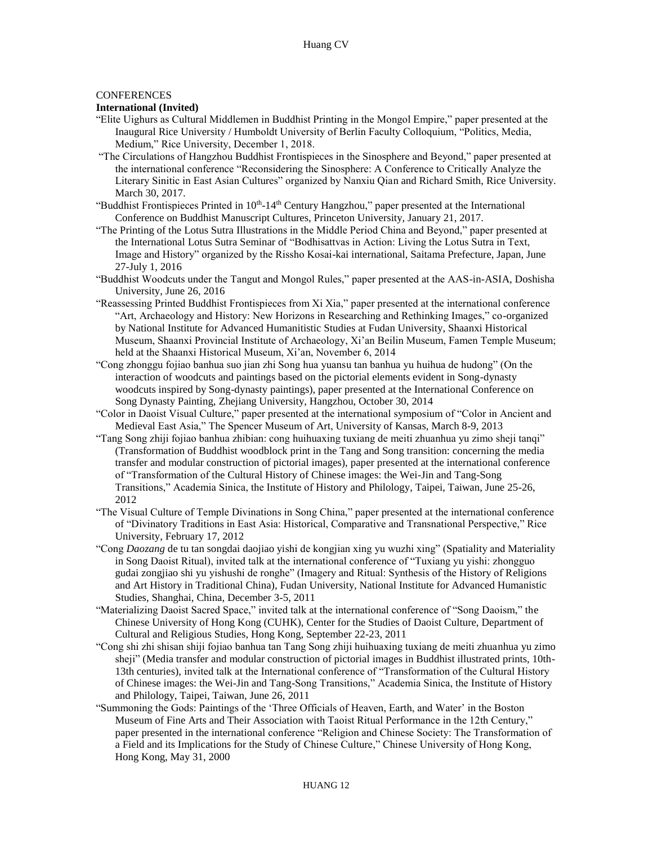## **CONFERENCES**

## **International (Invited)**

- "Elite Uighurs as Cultural Middlemen in Buddhist Printing in the Mongol Empire," paper presented at the Inaugural Rice University / Humboldt University of Berlin Faculty Colloquium, "Politics, Media, Medium," Rice University, December 1, 2018.
- "The Circulations of Hangzhou Buddhist Frontispieces in the Sinosphere and Beyond," paper presented at the international conference "Reconsidering the Sinosphere: A Conference to Critically Analyze the Literary Sinitic in East Asian Cultures" organized by Nanxiu Qian and Richard Smith, Rice University. March 30, 2017.
- "Buddhist Frontispieces Printed in 10<sup>th</sup>-14<sup>th</sup> Century Hangzhou," paper presented at the International Conference on Buddhist Manuscript Cultures, Princeton University, January 21, 2017.
- "The Printing of the Lotus Sutra Illustrations in the Middle Period China and Beyond," paper presented at the International Lotus Sutra Seminar of "Bodhisattvas in Action: Living the Lotus Sutra in Text, Image and History" organized by the Rissho Kosai-kai international, Saitama Prefecture, Japan, June 27-July 1, 2016
- "Buddhist Woodcuts under the Tangut and Mongol Rules," paper presented at the AAS-in-ASIA, Doshisha University, June 26, 2016
- "Reassessing Printed Buddhist Frontispieces from Xi Xia," paper presented at the international conference "Art, Archaeology and History: New Horizons in Researching and Rethinking Images," co-organized by National Institute for Advanced Humanitistic Studies at Fudan University, Shaanxi Historical Museum, Shaanxi Provincial Institute of Archaeology, Xi'an Beilin Museum, Famen Temple Museum; held at the Shaanxi Historical Museum, Xi'an, November 6, 2014
- "Cong zhonggu fojiao banhua suo jian zhi Song hua yuansu tan banhua yu huihua de hudong" (On the interaction of woodcuts and paintings based on the pictorial elements evident in Song-dynasty woodcuts inspired by Song-dynasty paintings), paper presented at the International Conference on Song Dynasty Painting, Zhejiang University, Hangzhou, October 30, 2014
- "Color in Daoist Visual Culture," paper presented at the international symposium of "Color in Ancient and Medieval East Asia," The Spencer Museum of Art, University of Kansas, March 8-9, 2013
- "Tang Song zhiji fojiao banhua zhibian: cong huihuaxing tuxiang de meiti zhuanhua yu zimo sheji tanqi" (Transformation of Buddhist woodblock print in the Tang and Song transition: concerning the media transfer and modular construction of pictorial images), paper presented at the international conference of "Transformation of the Cultural History of Chinese images: the Wei-Jin and Tang-Song Transitions," Academia Sinica, the Institute of History and Philology, Taipei, Taiwan, June 25-26, 2012
- "The Visual Culture of Temple Divinations in Song China," paper presented at the international conference of "Divinatory Traditions in East Asia: Historical, Comparative and Transnational Perspective," Rice University, February 17, 2012
- "Cong *Daozang* de tu tan songdai daojiao yishi de kongjian xing yu wuzhi xing" (Spatiality and Materiality in Song Daoist Ritual), invited talk at the international conference of "Tuxiang yu yishi: zhongguo gudai zongjiao shi yu yishushi de ronghe" (Imagery and Ritual: Synthesis of the History of Religions and Art History in Traditional China), Fudan University, National Institute for Advanced Humanistic Studies, Shanghai, China, December 3-5, 2011
- "Materializing Daoist Sacred Space," invited talk at the international conference of "Song Daoism," the Chinese University of Hong Kong (CUHK), Center for the Studies of Daoist Culture, Department of Cultural and Religious Studies, Hong Kong, September 22-23, 2011
- "Cong shi zhi shisan shiji fojiao banhua tan Tang Song zhiji huihuaxing tuxiang de meiti zhuanhua yu zimo sheji" (Media transfer and modular construction of pictorial images in Buddhist illustrated prints, 10th- 13th centuries), invited talk at the International conference of "Transformation of the Cultural History of Chinese images: the Wei-Jin and Tang-Song Transitions," Academia Sinica, the Institute of History and Philology, Taipei, Taiwan, June 26, 2011
- "Summoning the Gods: Paintings of the 'Three Officials of Heaven, Earth, and Water' in the Boston Museum of Fine Arts and Their Association with Taoist Ritual Performance in the 12th Century," paper presented in the international conference "Religion and Chinese Society: The Transformation of a Field and its Implications for the Study of Chinese Culture," Chinese University of Hong Kong, Hong Kong, May 31, 2000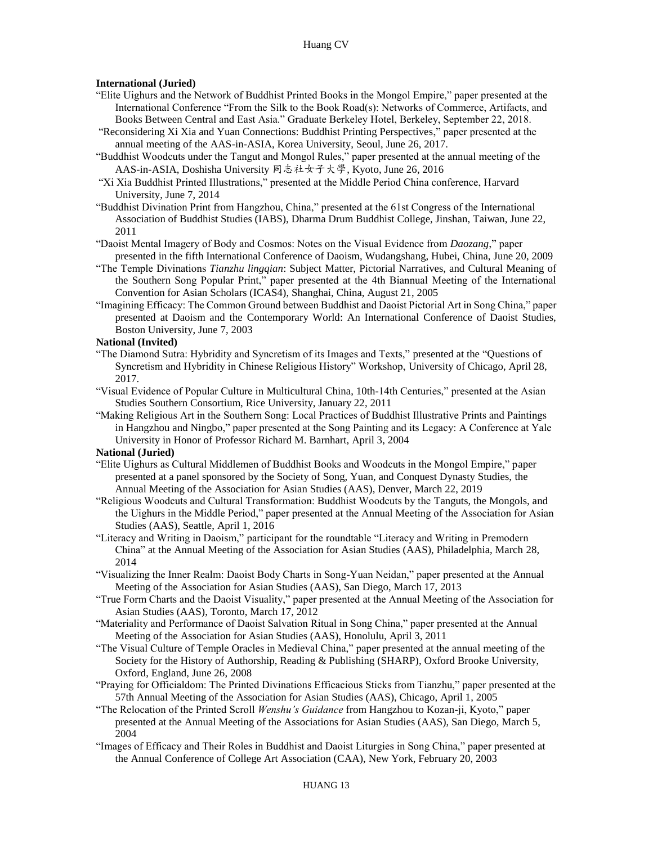## **International (Juried)**

- "Elite Uighurs and the Network of Buddhist Printed Books in the Mongol Empire," paper presented at the International Conference "From the Silk to the Book Road(s): Networks of Commerce, Artifacts, and Books Between Central and East Asia." Graduate Berkeley Hotel, Berkeley, September 22, 2018.
- "Reconsidering Xi Xia and Yuan Connections: Buddhist Printing Perspectives," paper presented at the annual meeting of the AAS-in-ASIA, Korea University, Seoul, June 26, 2017.
- "Buddhist Woodcuts under the Tangut and Mongol Rules," paper presented at the annual meeting of the AAS-in-ASIA, Doshisha University 同志社女子大學, Kyoto, June 26, 2016
- University, June 7, 2014 "Xi Xia Buddhist Printed Illustrations," presented at the Middle Period China conference, Harvard
- "Buddhist Divination Print from Hangzhou, China," presented at the 61st Congress of the International Association of Buddhist Studies (IABS), Dharma Drum Buddhist College, Jinshan, Taiwan, June 22, 2011
- "Daoist Mental Imagery of Body and Cosmos: Notes on the Visual Evidence from *Daozang*," paper presented in the fifth International Conference of Daoism, Wudangshang, Hubei, China, June 20, 2009
- "The Temple Divinations *Tianzhu lingqian*: Subject Matter, Pictorial Narratives, and Cultural Meaning of the Southern Song Popular Print," paper presented at the 4th Biannual Meeting of the International Convention for Asian Scholars (ICAS4), Shanghai, China, August 21, 2005
- "Imagining Efficacy: The Common Ground between Buddhist and Daoist Pictorial Art in Song China," paper presented at Daoism and the Contemporary World: An International Conference of Daoist Studies, Boston University, June 7, 2003

#### **National (Invited)**

- "The Diamond Sutra: Hybridity and Syncretism of its Images and Texts," presented at the "Questions of Syncretism and Hybridity in Chinese Religious History" Workshop, University of Chicago, April 28, 2017.
- "Visual Evidence of Popular Culture in Multicultural China, 10th-14th Centuries," presented at the Asian Studies Southern Consortium, Rice University, January 22, 2011

 "Making Religious Art in the Southern Song: Local Practices of Buddhist Illustrative Prints and Paintings in Hangzhou and Ningbo," paper presented at the Song Painting and its Legacy: A Conference at Yale University in Honor of Professor Richard M. Barnhart, April 3, 2004

#### **National (Juried)**

- "Elite Uighurs as Cultural Middlemen of Buddhist Books and Woodcuts in the Mongol Empire," paper presented at a panel sponsored by the Society of Song, Yuan, and Conquest Dynasty Studies, the Annual Meeting of the Association for Asian Studies (AAS), Denver, March 22, 2019
- "Religious Woodcuts and Cultural Transformation: Buddhist Woodcuts by the Tanguts, the Mongols, and the Uighurs in the Middle Period," paper presented at the Annual Meeting of the Association for Asian Studies (AAS), Seattle, April 1, 2016
- "Literacy and Writing in Daoism," participant for the roundtable "Literacy and Writing in Premodern China" at the Annual Meeting of the Association for Asian Studies (AAS), Philadelphia, March 28, 2014
- "Visualizing the Inner Realm: Daoist Body Charts in Song-Yuan Neidan," paper presented at the Annual Meeting of the Association for Asian Studies (AAS), San Diego, March 17, 2013
- "True Form Charts and the Daoist Visuality," paper presented at the Annual Meeting of the Association for Asian Studies (AAS), Toronto, March 17, 2012
- "Materiality and Performance of Daoist Salvation Ritual in Song China," paper presented at the Annual Meeting of the Association for Asian Studies (AAS), Honolulu, April 3, 2011
- "The Visual Culture of Temple Oracles in Medieval China," paper presented at the annual meeting of the Society for the History of Authorship, Reading & Publishing (SHARP), Oxford Brooke University, Oxford, England, June 26, 2008
- "Praying for Officialdom: The Printed Divinations Efficacious Sticks from Tianzhu," paper presented at the 57th Annual Meeting of the Association for Asian Studies (AAS), Chicago, April 1, 2005
- "The Relocation of the Printed Scroll *Wenshu's Guidance* from Hangzhou to Kozan-ji, Kyoto," paper presented at the Annual Meeting of the Associations for Asian Studies (AAS), San Diego, March 5, 2004
- "Images of Efficacy and Their Roles in Buddhist and Daoist Liturgies in Song China," paper presented at the Annual Conference of College Art Association (CAA), New York, February 20, 2003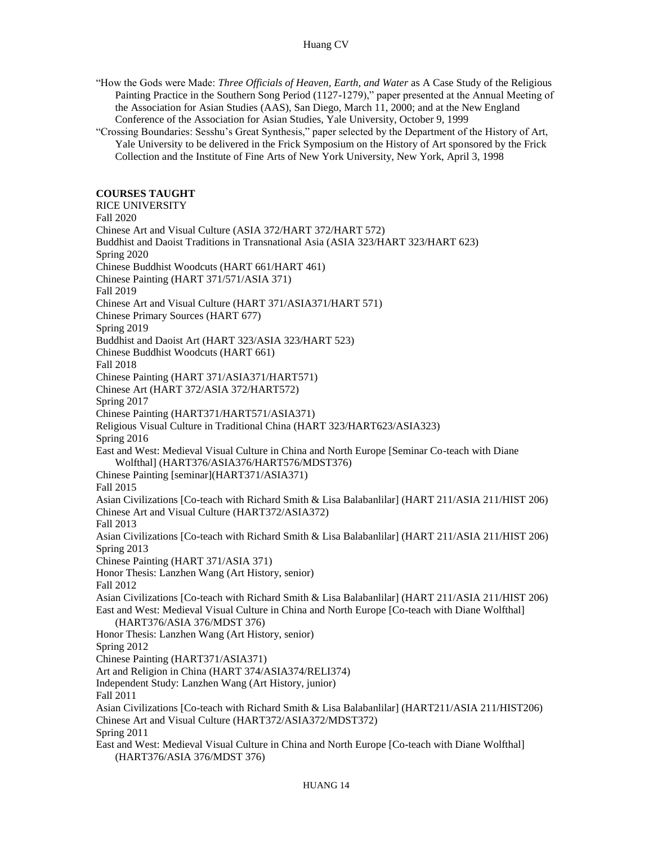"How the Gods were Made: *Three Officials of Heaven, Earth, and Water* as A Case Study of the Religious Painting Practice in the Southern Song Period (1127-1279)," paper presented at the Annual Meeting of the Association for Asian Studies (AAS), San Diego, March 11, 2000; and at the New England Conference of the Association for Asian Studies, Yale University, October 9, 1999

 "Crossing Boundaries: Sesshu's Great Synthesis," paper selected by the Department of the History of Art, Yale University to be delivered in the Frick Symposium on the History of Art sponsored by the Frick Collection and the Institute of Fine Arts of New York University, New York, April 3, 1998

## **COURSES TAUGHT**

 Chinese Art and Visual Culture (ASIA 372/HART 372/HART 572) Buddhist and Daoist Traditions in Transnational Asia (ASIA 323/HART 323/HART 623) Chinese Buddhist Woodcuts (HART 661/HART 461) Chinese Painting (HART 371/571/ASIA 371) Chinese Art and Visual Culture (HART 371/ASIA371/HART 571) Chinese Primary Sources (HART 677) Spring 2019 Buddhist and Daoist Art (HART 323/ASIA 323/HART 523) Chinese Buddhist Woodcuts (HART 661) Chinese Painting (HART 371/ASIA371/HART571) Chinese Art (HART 372/ASIA 372/HART572) Spring 2017 East and West: Medieval Visual Culture in China and North Europe [Seminar Co-teach with Diane Asian Civilizations [Co-teach with Richard Smith & Lisa Balabanlilar] (HART 211/ASIA 211/HIST 206) Asian Civilizations [Co-teach with Richard Smith & Lisa Balabanlilar] (HART 211/ASIA 211/HIST 206) Chinese Painting (HART 371/ASIA 371) Honor Thesis: Lanzhen Wang (Art History, senior) Asian Civilizations [Co-teach with Richard Smith & Lisa Balabanlilar] (HART 211/ASIA 211/HIST 206) East and West: Medieval Visual Culture in China and North Europe [Co-teach with Diane Wolfthal] (HART376/ASIA 376/MDST 376) Honor Thesis: Lanzhen Wang (Art History, senior) Art and Religion in China (HART 374/ASIA374/RELI374) Independent Study: Lanzhen Wang (Art History, junior) Asian Civilizations [Co-teach with Richard Smith & Lisa Balabanlilar] (HART211/ASIA 211/HIST206) East and West: Medieval Visual Culture in China and North Europe [Co-teach with Diane Wolfthal] (HART376/ASIA 376/MDST 376) RICE UNIVERSITY Fall 2020 Spring 2020 Fall 2019 Fall 2018 Chinese Painting (HART371/HART571/ASIA371) Religious Visual Culture in Traditional China (HART 323/HART623/ASIA323) Spring 2016 Wolfthal] (HART376/ASIA376/HART576/MDST376) Chinese Painting [seminar](HART371/ASIA371) Fall 2015 Chinese Art and Visual Culture (HART372/ASIA372) Fall 2013 Spring 2013 Fall 2012 Spring 2012 Chinese Painting (HART371/ASIA371) Fall 2011 Chinese Art and Visual Culture (HART372/ASIA372/MDST372) Spring 2011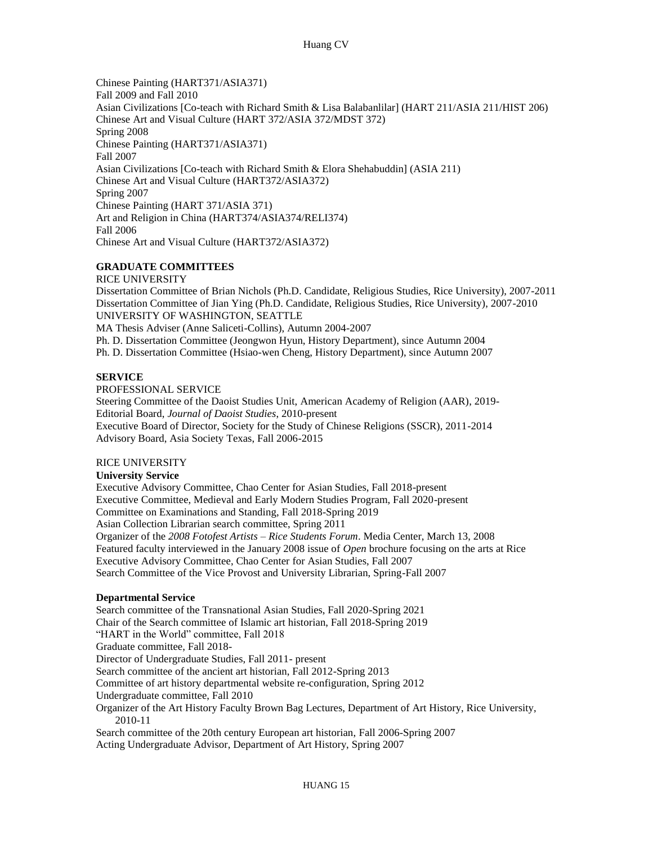Fall 2009 and Fall 2010 Asian Civilizations [Co-teach with Richard Smith & Lisa Balabanlilar] (HART 211/ASIA 211/HIST 206) Chinese Art and Visual Culture (HART 372/ASIA 372/MDST 372) Asian Civilizations [Co-teach with Richard Smith & Elora Shehabuddin] (ASIA 211) Chinese Painting (HART 371/ASIA 371) Art and Religion in China (HART374/ASIA374/RELI374) Chinese Painting (HART371/ASIA371) Spring 2008 Chinese Painting (HART371/ASIA371) Fall 2007 Chinese Art and Visual Culture (HART372/ASIA372) Spring 2007 Fall 2006 Chinese Art and Visual Culture (HART372/ASIA372)

## **GRADUATE COMMITTEES**

 Dissertation Committee of Brian Nichols (Ph.D. Candidate, Religious Studies, Rice University), 2007-2011 MA Thesis Adviser (Anne Saliceti-Collins), Autumn 2004-2007 Ph. D. Dissertation Committee (Jeongwon Hyun, History Department), since Autumn 2004 Ph. D. Dissertation Committee (Hsiao-wen Cheng, History Department), since Autumn 2007 RICE UNIVERSITY Dissertation Committee of Jian Ying (Ph.D. Candidate, Religious Studies, Rice University), 2007-2010 UNIVERSITY OF WASHINGTON, SEATTLE

# **SERVICE**

PROFESSIONAL SERVICE

 Steering Committee of the Daoist Studies Unit, American Academy of Religion (AAR), 2019- Executive Board of Director, Society for the Study of Chinese Religions (SSCR), 2011-2014 Advisory Board, Asia Society Texas, Fall 2006-2015 Editorial Board, *Journal of Daoist Studies*, 2010-present

## RICE UNIVERSITY

#### **University Service**

 Executive Advisory Committee, Chao Center for Asian Studies, Fall 2018-present Executive Committee, Medieval and Early Modern Studies Program, Fall 2020-present Committee on Examinations and Standing, Fall 2018-Spring 2019 Asian Collection Librarian search committee, Spring 2011 Organizer of the *2008 Fotofest Artists – Rice Students Forum*. Media Center, March 13, 2008 Featured faculty interviewed in the January 2008 issue of *Open* brochure focusing on the arts at Rice Executive Advisory Committee, Chao Center for Asian Studies, Fall 2007 Search Committee of the Vice Provost and University Librarian, Spring-Fall 2007

## **Departmental Service**

 Chair of the Search committee of Islamic art historian, Fall 2018-Spring 2019 Director of Undergraduate Studies, Fall 2011- present Committee of art history departmental website re-configuration, Spring 2012 Organizer of the Art History Faculty Brown Bag Lectures, Department of Art History, Rice University, Search committee of the 20th century European art historian, Fall 2006-Spring 2007 Acting Undergraduate Advisor, Department of Art History, Spring 2007 Search committee of the Transnational Asian Studies, Fall 2020-Spring 2021 "HART in the World" committee, Fall 2018 Graduate committee, Fall 2018- Search committee of the ancient art historian, Fall 2012-Spring 2013 Undergraduate committee, Fall 2010 2010-11